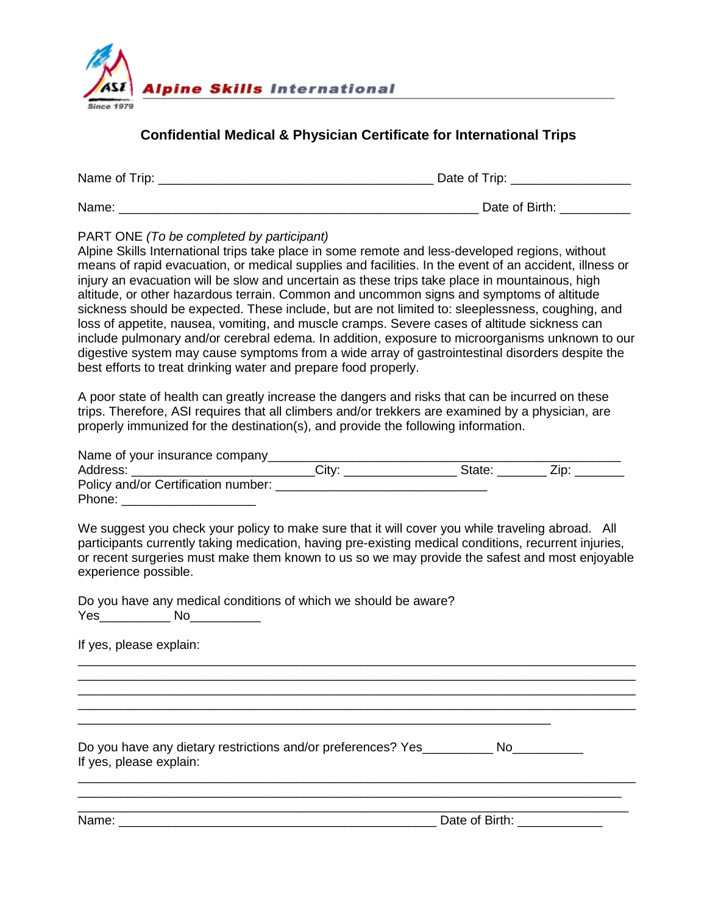

## **Confidential Medical & Physician Certificate for International Trips**

| Name of Trip: | Date of Trip:  |  |  |
|---------------|----------------|--|--|
| Name:         | Date of Birth: |  |  |

## PART ONE *(To be completed by participant)*

Alpine Skills International trips take place in some remote and less-developed regions, without means of rapid evacuation, or medical supplies and facilities. In the event of an accident, illness or injury an evacuation will be slow and uncertain as these trips take place in mountainous, high altitude, or other hazardous terrain. Common and uncommon signs and symptoms of altitude sickness should be expected. These include, but are not limited to: sleeplessness, coughing, and loss of appetite, nausea, vomiting, and muscle cramps. Severe cases of altitude sickness can include pulmonary and/or cerebral edema. In addition, exposure to microorganisms unknown to our digestive system may cause symptoms from a wide array of gastrointestinal disorders despite the best efforts to treat drinking water and prepare food properly.

A poor state of health can greatly increase the dangers and risks that can be incurred on these trips. Therefore, ASI requires that all climbers and/or trekkers are examined by a physician, are properly immunized for the destination(s), and provide the following information.

| Name of your insurance company      |                   |        |                  |
|-------------------------------------|-------------------|--------|------------------|
| Address:                            | City <sup>-</sup> | State: | Zip <sup>.</sup> |
| Policy and/or Certification number: |                   |        |                  |
| Phone:                              |                   |        |                  |

We suggest you check your policy to make sure that it will cover you while traveling abroad. All participants currently taking medication, having pre-existing medical conditions, recurrent injuries, or recent surgeries must make them known to us so we may provide the safest and most enjoyable experience possible.

\_\_\_\_\_\_\_\_\_\_\_\_\_\_\_\_\_\_\_\_\_\_\_\_\_\_\_\_\_\_\_\_\_\_\_\_\_\_\_\_\_\_\_\_\_\_\_\_\_\_\_\_\_\_\_\_\_\_\_\_\_\_\_\_\_\_\_\_\_\_\_\_\_\_\_\_\_\_\_ \_\_\_\_\_\_\_\_\_\_\_\_\_\_\_\_\_\_\_\_\_\_\_\_\_\_\_\_\_\_\_\_\_\_\_\_\_\_\_\_\_\_\_\_\_\_\_\_\_\_\_\_\_\_\_\_\_\_\_\_\_\_\_\_\_\_\_\_\_\_\_\_\_\_\_\_\_\_\_ \_\_\_\_\_\_\_\_\_\_\_\_\_\_\_\_\_\_\_\_\_\_\_\_\_\_\_\_\_\_\_\_\_\_\_\_\_\_\_\_\_\_\_\_\_\_\_\_\_\_\_\_\_\_\_\_\_\_\_\_\_\_\_\_\_\_\_\_\_\_\_\_\_\_\_\_\_\_\_ \_\_\_\_\_\_\_\_\_\_\_\_\_\_\_\_\_\_\_\_\_\_\_\_\_\_\_\_\_\_\_\_\_\_\_\_\_\_\_\_\_\_\_\_\_\_\_\_\_\_\_\_\_\_\_\_\_\_\_\_\_\_\_\_\_\_\_\_\_\_\_\_\_\_\_\_\_\_\_

\_\_\_\_\_\_\_\_\_\_\_\_\_\_\_\_\_\_\_\_\_\_\_\_\_\_\_\_\_\_\_\_\_\_\_\_\_\_\_\_\_\_\_\_\_\_\_\_\_\_\_\_\_\_\_\_\_\_\_\_\_\_\_\_\_\_\_\_\_\_\_\_\_\_\_\_\_\_\_

\_\_\_\_\_\_\_\_\_\_\_\_\_\_\_\_\_\_\_\_\_\_\_\_\_\_\_\_\_\_\_\_\_\_\_\_\_\_\_\_\_\_\_\_\_\_\_\_\_\_\_\_\_\_\_\_\_\_\_\_\_\_\_\_\_\_\_\_\_\_\_\_\_\_\_\_\_\_

Do you have any medical conditions of which we should be aware? Yes\_\_\_\_\_\_\_\_\_\_ No\_\_\_\_\_\_\_\_\_\_

If yes, please explain:

Do you have any dietary restrictions and/or preferences? Yes\_\_\_\_\_\_\_\_\_\_\_ No\_\_\_\_\_\_\_ If yes, please explain:

\_\_\_\_\_\_\_\_\_\_\_\_\_\_\_\_\_\_\_\_\_\_\_\_\_\_\_\_\_\_\_\_\_\_\_\_\_\_\_\_\_\_\_\_\_\_\_\_\_\_\_\_\_\_\_\_\_\_\_\_\_\_\_\_\_\_\_